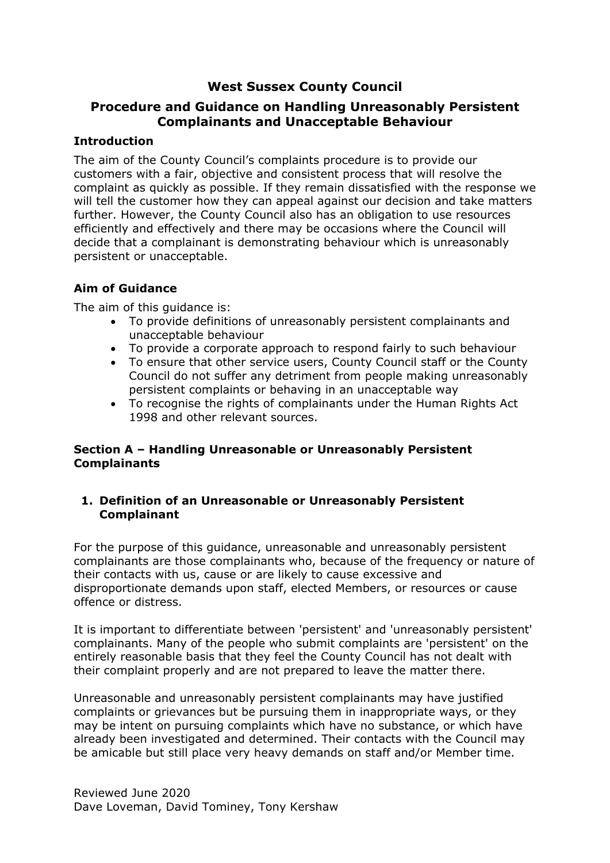# **West Sussex County Council**

# **Procedure and Guidance on Handling Unreasonably Persistent Complainants and Unacceptable Behaviour**

## **Introduction**

The aim of the County Council's complaints procedure is to provide our customers with a fair, objective and consistent process that will resolve the complaint as quickly as possible. If they remain dissatisfied with the response we will tell the customer how they can appeal against our decision and take matters further. However, the County Council also has an obligation to use resources efficiently and effectively and there may be occasions where the Council will decide that a complainant is demonstrating behaviour which is unreasonably persistent or unacceptable.

## **Aim of Guidance**

The aim of this quidance is:

- To provide definitions of unreasonably persistent complainants and unacceptable behaviour
- To provide a corporate approach to respond fairly to such behaviour
- To ensure that other service users, County Council staff or the County Council do not suffer any detriment from people making unreasonably persistent complaints or behaving in an unacceptable way
- To recognise the rights of complainants under the Human Rights Act 1998 and other relevant sources.

## **Section A – Handling Unreasonable or Unreasonably Persistent Complainants**

## **1. Definition of an Unreasonable or Unreasonably Persistent Complainant**

For the purpose of this guidance, unreasonable and unreasonably persistent complainants are those complainants who, because of the frequency or nature of their contacts with us, cause or are likely to cause excessive and disproportionate demands upon staff, elected Members, or resources or cause offence or distress.

It is important to differentiate between 'persistent' and 'unreasonably persistent' complainants. Many of the people who submit complaints are 'persistent' on the entirely reasonable basis that they feel the County Council has not dealt with their complaint properly and are not prepared to leave the matter there.

Unreasonable and unreasonably persistent complainants may have justified complaints or grievances but be pursuing them in inappropriate ways, or they may be intent on pursuing complaints which have no substance, or which have already been investigated and determined. Their contacts with the Council may be amicable but still place very heavy demands on staff and/or Member time.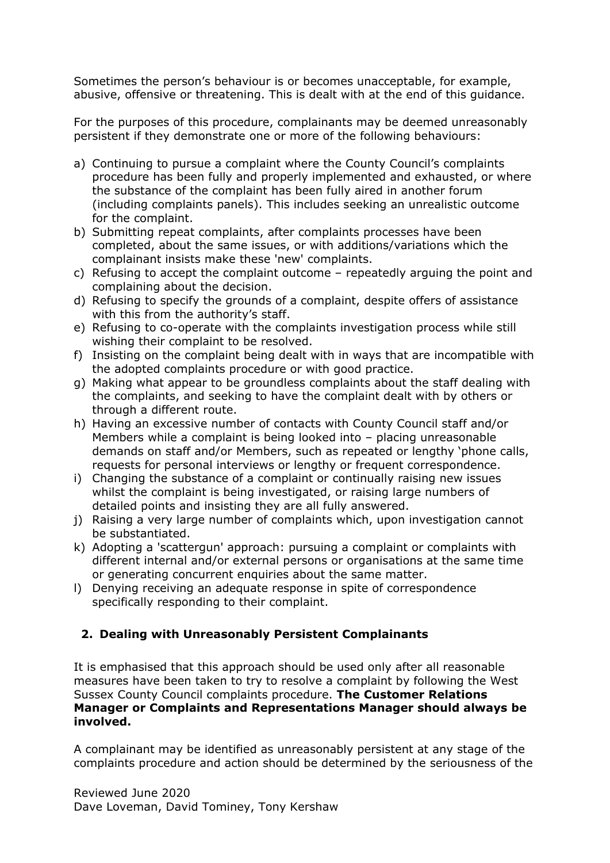Sometimes the person's behaviour is or becomes unacceptable, for example, abusive, offensive or threatening. This is dealt with at the end of this guidance.

For the purposes of this procedure, complainants may be deemed unreasonably persistent if they demonstrate one or more of the following behaviours:

- a) Continuing to pursue a complaint where the County Council's complaints procedure has been fully and properly implemented and exhausted, or where the substance of the complaint has been fully aired in another forum (including complaints panels). This includes seeking an unrealistic outcome for the complaint.
- b) Submitting repeat complaints, after complaints processes have been completed, about the same issues, or with additions/variations which the complainant insists make these 'new' complaints.
- c) Refusing to accept the complaint outcome repeatedly arguing the point and complaining about the decision.
- d) Refusing to specify the grounds of a complaint, despite offers of assistance with this from the authority's staff.
- e) Refusing to co-operate with the complaints investigation process while still wishing their complaint to be resolved.
- f) Insisting on the complaint being dealt with in ways that are incompatible with the adopted complaints procedure or with good practice.
- g) Making what appear to be groundless complaints about the staff dealing with the complaints, and seeking to have the complaint dealt with by others or through a different route.
- h) Having an excessive number of contacts with County Council staff and/or Members while a complaint is being looked into – placing unreasonable demands on staff and/or Members, such as repeated or lengthy 'phone calls, requests for personal interviews or lengthy or frequent correspondence.
- i) Changing the substance of a complaint or continually raising new issues whilst the complaint is being investigated, or raising large numbers of detailed points and insisting they are all fully answered.
- j) Raising a very large number of complaints which, upon investigation cannot be substantiated.
- k) Adopting a 'scattergun' approach: pursuing a complaint or complaints with different internal and/or external persons or organisations at the same time or generating concurrent enquiries about the same matter.
- l) Denying receiving an adequate response in spite of correspondence specifically responding to their complaint.

# **2. Dealing with Unreasonably Persistent Complainants**

It is emphasised that this approach should be used only after all reasonable measures have been taken to try to resolve a complaint by following the West Sussex County Council complaints procedure. **The Customer Relations Manager or Complaints and Representations Manager should always be involved.** 

A complainant may be identified as unreasonably persistent at any stage of the complaints procedure and action should be determined by the seriousness of the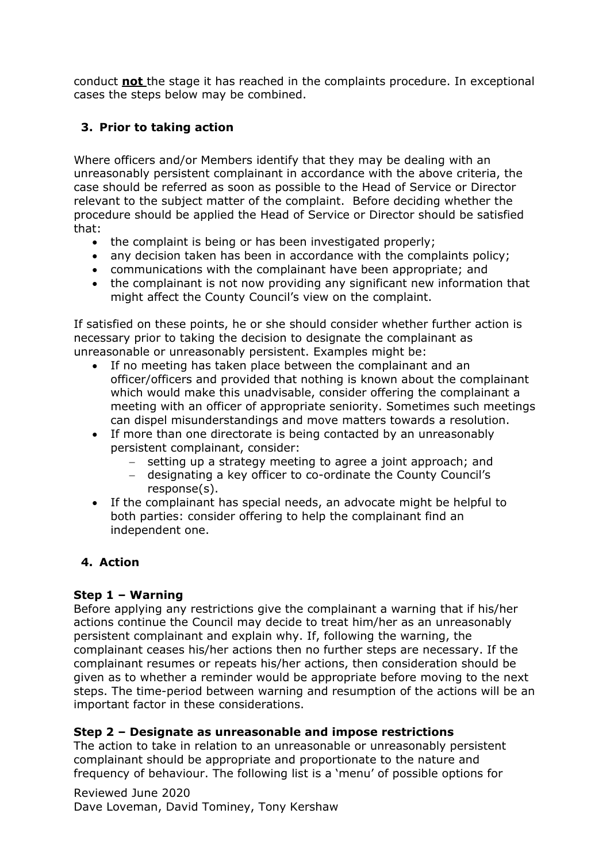conduct **not** the stage it has reached in the complaints procedure. In exceptional cases the steps below may be combined.

# **3. Prior to taking action**

Where officers and/or Members identify that they may be dealing with an unreasonably persistent complainant in accordance with the above criteria, the case should be referred as soon as possible to the Head of Service or Director relevant to the subject matter of the complaint. Before deciding whether the procedure should be applied the Head of Service or Director should be satisfied that:

- the complaint is being or has been investigated properly;
- any decision taken has been in accordance with the complaints policy;
- communications with the complainant have been appropriate; and
- the complainant is not now providing any significant new information that might affect the County Council's view on the complaint.

If satisfied on these points, he or she should consider whether further action is necessary prior to taking the decision to designate the complainant as unreasonable or unreasonably persistent. Examples might be:

- If no meeting has taken place between the complainant and an officer/officers and provided that nothing is known about the complainant which would make this unadvisable, consider offering the complainant a meeting with an officer of appropriate seniority. Sometimes such meetings can dispel misunderstandings and move matters towards a resolution.
- If more than one directorate is being contacted by an unreasonably persistent complainant, consider:
	- − setting up a strategy meeting to agree a joint approach; and
	- − designating a key officer to co-ordinate the County Council's response(s).
- If the complainant has special needs, an advocate might be helpful to both parties: consider offering to help the complainant find an independent one.

## **4. Action**

## **Step 1 – Warning**

Before applying any restrictions give the complainant a warning that if his/her actions continue the Council may decide to treat him/her as an unreasonably persistent complainant and explain why. If, following the warning, the complainant ceases his/her actions then no further steps are necessary. If the complainant resumes or repeats his/her actions, then consideration should be given as to whether a reminder would be appropriate before moving to the next steps. The time-period between warning and resumption of the actions will be an important factor in these considerations.

## **Step 2 – Designate as unreasonable and impose restrictions**

The action to take in relation to an unreasonable or unreasonably persistent complainant should be appropriate and proportionate to the nature and frequency of behaviour. The following list is a 'menu' of possible options for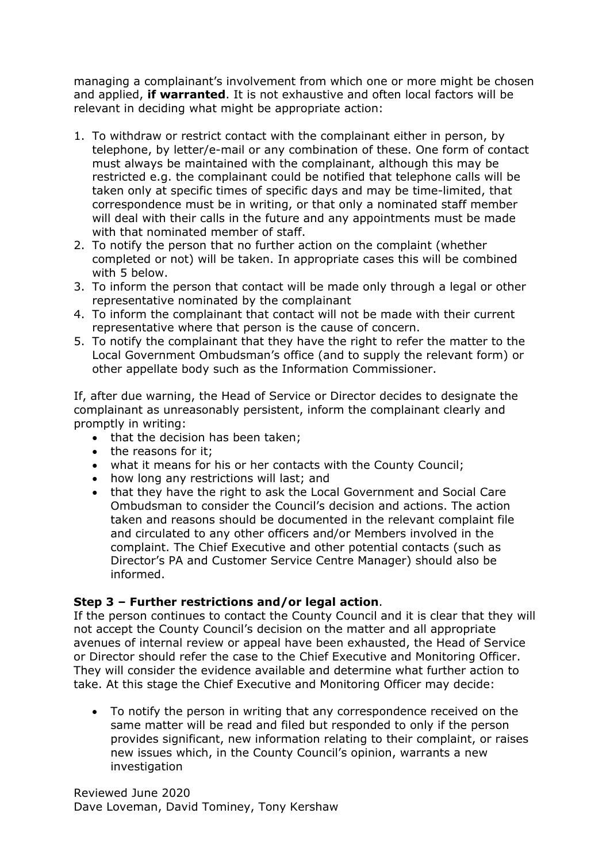managing a complainant's involvement from which one or more might be chosen and applied, **if warranted**. It is not exhaustive and often local factors will be relevant in deciding what might be appropriate action:

- 1. To withdraw or restrict contact with the complainant either in person, by telephone, by letter/e-mail or any combination of these. One form of contact must always be maintained with the complainant, although this may be restricted e.g. the complainant could be notified that telephone calls will be taken only at specific times of specific days and may be time-limited, that correspondence must be in writing, or that only a nominated staff member will deal with their calls in the future and any appointments must be made with that nominated member of staff.
- 2. To notify the person that no further action on the complaint (whether completed or not) will be taken. In appropriate cases this will be combined with 5 below.
- 3. To inform the person that contact will be made only through a legal or other representative nominated by the complainant
- 4. To inform the complainant that contact will not be made with their current representative where that person is the cause of concern.
- 5. To notify the complainant that they have the right to refer the matter to the Local Government Ombudsman's office (and to supply the relevant form) or other appellate body such as the Information Commissioner.

If, after due warning, the Head of Service or Director decides to designate the complainant as unreasonably persistent, inform the complainant clearly and promptly in writing:

- that the decision has been taken;
- the reasons for it;
- what it means for his or her contacts with the County Council;
- how long any restrictions will last; and
- that they have the right to ask the Local Government and Social Care Ombudsman to consider the Council's decision and actions. The action taken and reasons should be documented in the relevant complaint file and circulated to any other officers and/or Members involved in the complaint. The Chief Executive and other potential contacts (such as Director's PA and Customer Service Centre Manager) should also be informed.

## **Step 3 – Further restrictions and/or legal action**.

If the person continues to contact the County Council and it is clear that they will not accept the County Council's decision on the matter and all appropriate avenues of internal review or appeal have been exhausted, the Head of Service or Director should refer the case to the Chief Executive and Monitoring Officer. They will consider the evidence available and determine what further action to take. At this stage the Chief Executive and Monitoring Officer may decide:

• To notify the person in writing that any correspondence received on the same matter will be read and filed but responded to only if the person provides significant, new information relating to their complaint, or raises new issues which, in the County Council's opinion, warrants a new investigation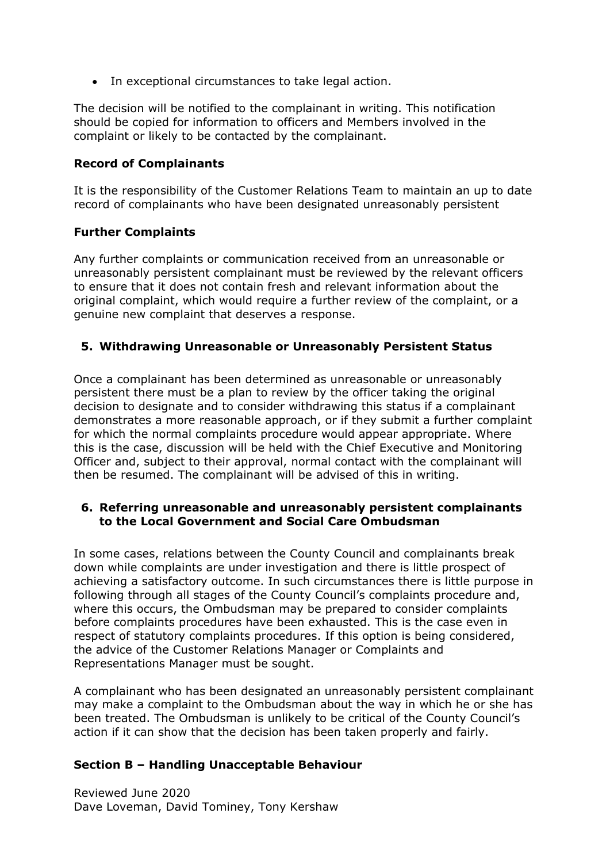• In exceptional circumstances to take legal action.

The decision will be notified to the complainant in writing. This notification should be copied for information to officers and Members involved in the complaint or likely to be contacted by the complainant.

#### **Record of Complainants**

It is the responsibility of the Customer Relations Team to maintain an up to date record of complainants who have been designated unreasonably persistent

#### **Further Complaints**

Any further complaints or communication received from an unreasonable or unreasonably persistent complainant must be reviewed by the relevant officers to ensure that it does not contain fresh and relevant information about the original complaint, which would require a further review of the complaint, or a genuine new complaint that deserves a response.

## **5. Withdrawing Unreasonable or Unreasonably Persistent Status**

Once a complainant has been determined as unreasonable or unreasonably persistent there must be a plan to review by the officer taking the original decision to designate and to consider withdrawing this status if a complainant demonstrates a more reasonable approach, or if they submit a further complaint for which the normal complaints procedure would appear appropriate. Where this is the case, discussion will be held with the Chief Executive and Monitoring Officer and, subject to their approval, normal contact with the complainant will then be resumed. The complainant will be advised of this in writing.

## **6. Referring unreasonable and unreasonably persistent complainants to the Local Government and Social Care Ombudsman**

In some cases, relations between the County Council and complainants break down while complaints are under investigation and there is little prospect of achieving a satisfactory outcome. In such circumstances there is little purpose in following through all stages of the County Council's complaints procedure and, where this occurs, the Ombudsman may be prepared to consider complaints before complaints procedures have been exhausted. This is the case even in respect of statutory complaints procedures. If this option is being considered, the advice of the Customer Relations Manager or Complaints and Representations Manager must be sought.

A complainant who has been designated an unreasonably persistent complainant may make a complaint to the Ombudsman about the way in which he or she has been treated. The Ombudsman is unlikely to be critical of the County Council's action if it can show that the decision has been taken properly and fairly.

#### **Section B – Handling Unacceptable Behaviour**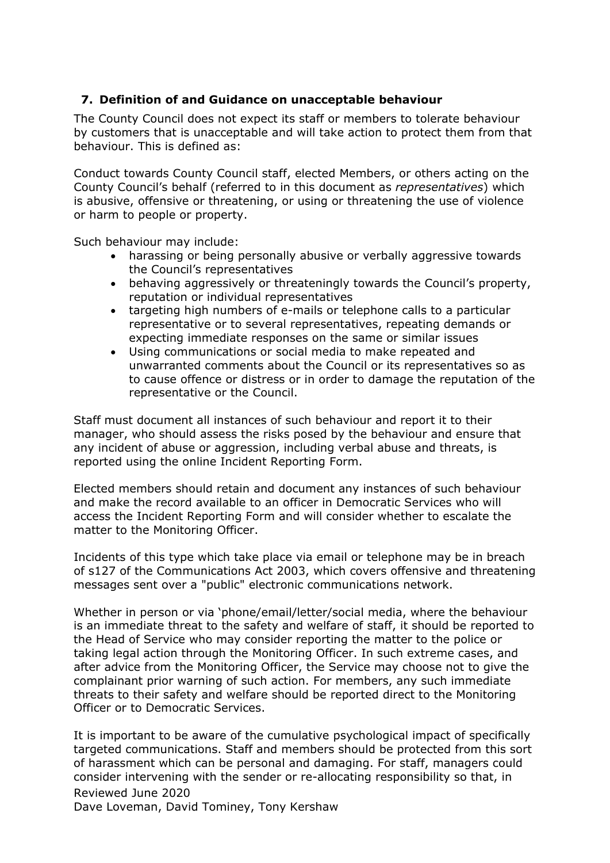## **7. Definition of and Guidance on unacceptable behaviour**

The County Council does not expect its staff or members to tolerate behaviour by customers that is unacceptable and will take action to protect them from that behaviour. This is defined as:

Conduct towards County Council staff, elected Members, or others acting on the County Council's behalf (referred to in this document as *representatives*) which is abusive, offensive or threatening, or using or threatening the use of violence or harm to people or property.

Such behaviour may include:

- harassing or being personally abusive or verbally aggressive towards the Council's representatives
- behaving aggressively or threateningly towards the Council's property, reputation or individual representatives
- targeting high numbers of e-mails or telephone calls to a particular representative or to several representatives, repeating demands or expecting immediate responses on the same or similar issues
- Using communications or social media to make repeated and unwarranted comments about the Council or its representatives so as to cause offence or distress or in order to damage the reputation of the representative or the Council.

Staff must document all instances of such behaviour and report it to their manager, who should assess the risks posed by the behaviour and ensure that any incident of abuse or aggression, including verbal abuse and threats, is reported using the online Incident Reporting Form.

Elected members should retain and document any instances of such behaviour and make the record available to an officer in Democratic Services who will access the Incident Reporting Form and will consider whether to escalate the matter to the Monitoring Officer.

Incidents of this type which take place via email or telephone may be in breach of s127 of the Communications Act 2003, which covers offensive and threatening messages sent over a "public" electronic communications network.

Whether in person or via 'phone/email/letter/social media, where the behaviour is an immediate threat to the safety and welfare of staff, it should be reported to the Head of Service who may consider reporting the matter to the police or taking legal action through the Monitoring Officer. In such extreme cases, and after advice from the Monitoring Officer, the Service may choose not to give the complainant prior warning of such action. For members, any such immediate threats to their safety and welfare should be reported direct to the Monitoring Officer or to Democratic Services.

Reviewed June 2020 It is important to be aware of the cumulative psychological impact of specifically targeted communications. Staff and members should be protected from this sort of harassment which can be personal and damaging. For staff, managers could consider intervening with the sender or re-allocating responsibility so that, in

Dave Loveman, David Tominey, Tony Kershaw